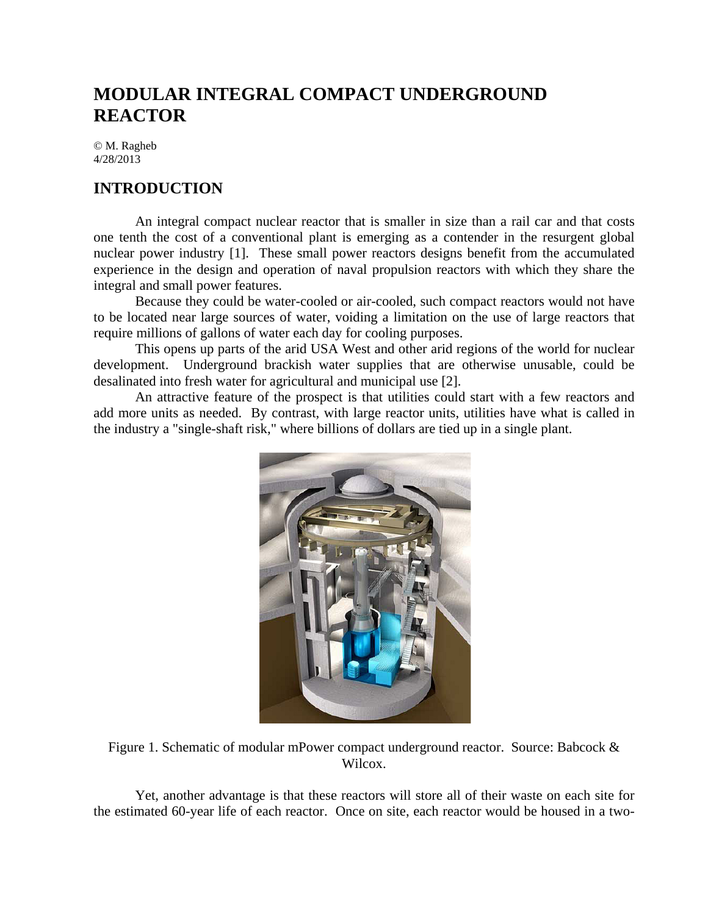# **MODULAR INTEGRAL COMPACT UNDERGROUND REACTOR**

© M. Ragheb 4/28/2013

# **INTRODUCTION**

An integral compact nuclear reactor that is smaller in size than a rail car and that costs one tenth the cost of a conventional plant is emerging as a contender in the resurgent global nuclear power industry [1]. These small power reactors designs benefit from the accumulated experience in the design and operation of naval propulsion reactors with which they share the integral and small power features.

Because they could be water-cooled or air-cooled, such compact reactors would not have to be located near large sources of water, voiding a limitation on the use of large reactors that require millions of gallons of water each day for cooling purposes.

This opens up parts of the arid USA West and other arid regions of the world for nuclear development. Underground brackish water supplies that are otherwise unusable, could be desalinated into fresh water for agricultural and municipal use [2].

An attractive feature of the prospect is that utilities could start with a few reactors and add more units as needed. By contrast, with large reactor units, utilities have what is called in the industry a "single-shaft risk," where billions of dollars are tied up in a single plant.



Figure 1. Schematic of modular mPower compact underground reactor. Source: Babcock & Wilcox.

Yet, another advantage is that these reactors will store all of their waste on each site for the estimated 60-year life of each reactor. Once on site, each reactor would be housed in a two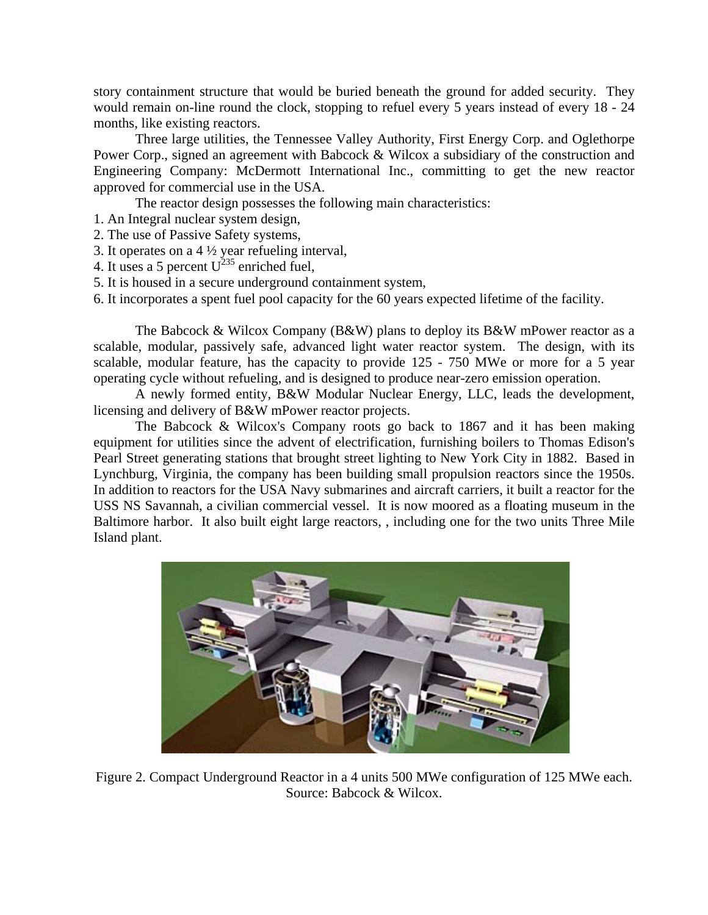story containment structure that would be buried beneath the ground for added security. They would remain on-line round the clock, stopping to refuel every 5 years instead of every 18 - 24 months, like existing reactors.

Three large utilities, the Tennessee Valley Authority, First Energy Corp. and Oglethorpe Power Corp., signed an agreement with Babcock & Wilcox a subsidiary of the construction and Engineering Company: McDermott International Inc., committing to get the new reactor approved for commercial use in the USA.

The reactor design possesses the following main characteristics:

- 1. An Integral nuclear system design,
- 2. The use of Passive Safety systems,
- 3. It operates on a  $4\frac{1}{2}$  year refueling interval,
- 4. It uses a 5 percent  $U^{235}$  enriched fuel,
- 5. It is housed in a secure underground containment system,
- 6. It incorporates a spent fuel pool capacity for the 60 years expected lifetime of the facility.

The Babcock & Wilcox Company (B&W) plans to deploy its B&W mPower reactor as a scalable, modular, passively safe, advanced light water reactor system. The design, with its scalable, modular feature, has the capacity to provide 125 - 750 MWe or more for a 5 year operating cycle without refueling, and is designed to produce near-zero emission operation.

A newly formed entity, B&W Modular Nuclear Energy, LLC, leads the development, licensing and delivery of B&W mPower reactor projects.

The Babcock & Wilcox's Company roots go back to 1867 and it has been making equipment for utilities since the advent of electrification, furnishing boilers to Thomas Edison's Pearl Street generating stations that brought street lighting to New York City in 1882. Based in Lynchburg, Virginia, the company has been building small propulsion reactors since the 1950s. In addition to reactors for the USA Navy submarines and aircraft carriers, it built a reactor for the USS NS Savannah, a civilian commercial vessel. It is now moored as a floating museum in the Baltimore harbor. It also built eight large reactors, , including one for the two units Three Mile Island plant.



Figure 2. Compact Underground Reactor in a 4 units 500 MWe configuration of 125 MWe each. Source: Babcock & Wilcox.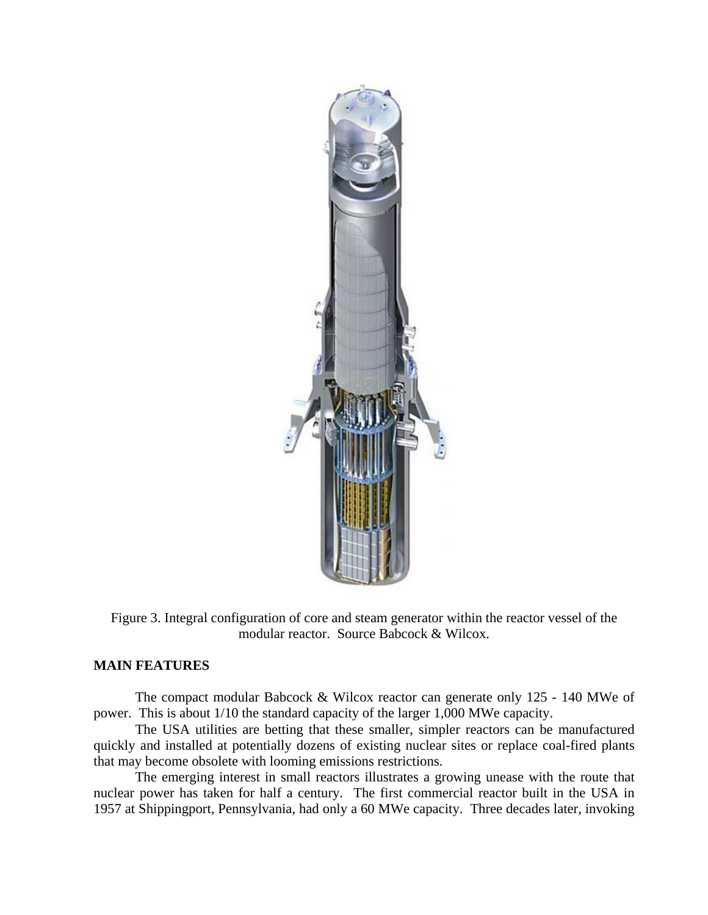

Figure 3. Integral configuration of core and steam generator within the reactor vessel of the modular reactor. Source Babcock & Wilcox.

### **MAIN FEATURES**

The compact modular Babcock & Wilcox reactor can generate only 125 - 140 MWe of power. This is about 1/10 the standard capacity of the larger 1,000 MWe capacity.

The USA utilities are betting that these smaller, simpler reactors can be manufactured quickly and installed at potentially dozens of existing nuclear sites or replace coal-fired plants that may become obsolete with looming emissions restrictions.

The emerging interest in small reactors illustrates a growing unease with the route that nuclear power has taken for half a century. The first commercial reactor built in the USA in 1957 at Shippingport, Pennsylvania, had only a 60 MWe capacity. Three decades later, invoking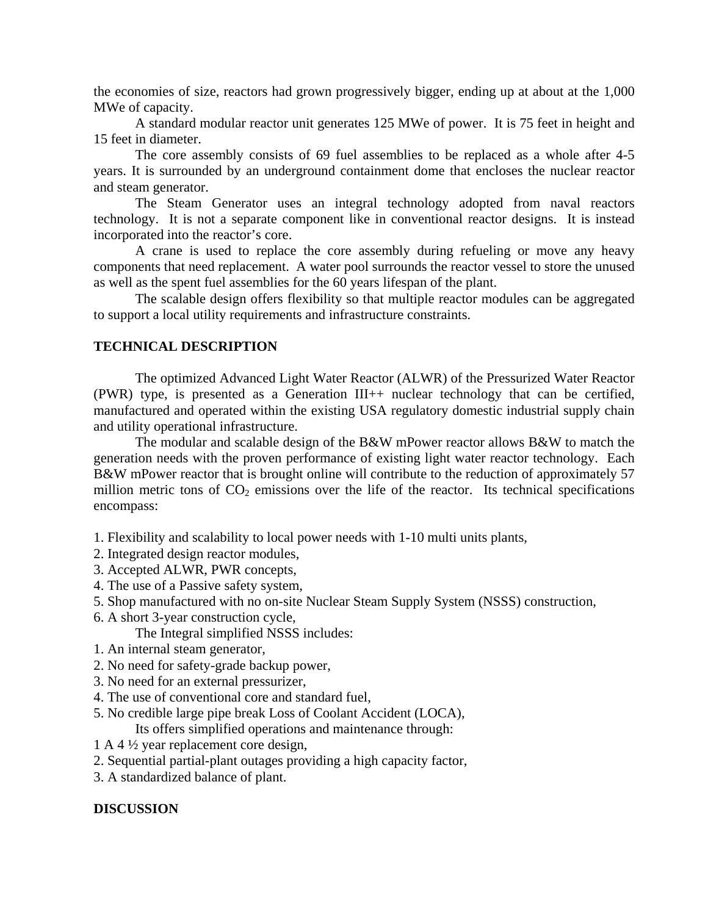the economies of size, reactors had grown progressively bigger, ending up at about at the 1,000 MWe of capacity.

A standard modular reactor unit generates 125 MWe of power. It is 75 feet in height and 15 feet in diameter.

The core assembly consists of 69 fuel assemblies to be replaced as a whole after 4-5 years. It is surrounded by an underground containment dome that encloses the nuclear reactor and steam generator.

The Steam Generator uses an integral technology adopted from naval reactors technology. It is not a separate component like in conventional reactor designs. It is instead incorporated into the reactor's core.

A crane is used to replace the core assembly during refueling or move any heavy components that need replacement. A water pool surrounds the reactor vessel to store the unused as well as the spent fuel assemblies for the 60 years lifespan of the plant.

The scalable design offers flexibility so that multiple reactor modules can be aggregated to support a local utility requirements and infrastructure constraints.

## **TECHNICAL DESCRIPTION**

The optimized Advanced Light Water Reactor (ALWR) of the Pressurized Water Reactor (PWR) type, is presented as a Generation III++ nuclear technology that can be certified, manufactured and operated within the existing USA regulatory domestic industrial supply chain and utility operational infrastructure.

The modular and scalable design of the B&W mPower reactor allows B&W to match the generation needs with the proven performance of existing light water reactor technology. Each B&W mPower reactor that is brought online will contribute to the reduction of approximately 57 million metric tons of  $CO<sub>2</sub>$  emissions over the life of the reactor. Its technical specifications encompass:

- 1. Flexibility and scalability to local power needs with 1-10 multi units plants,
- 2. Integrated design reactor modules,
- 3. Accepted ALWR, PWR concepts,
- 4. The use of a Passive safety system,
- 5. Shop manufactured with no on-site Nuclear Steam Supply System (NSSS) construction,
- 6. A short 3-year construction cycle,

The Integral simplified NSSS includes:

- 1. An internal steam generator,
- 2. No need for safety-grade backup power,
- 3. No need for an external pressurizer,
- 4. The use of conventional core and standard fuel,
- 5. No credible large pipe break Loss of Coolant Accident (LOCA),

Its offers simplified operations and maintenance through:

- 1 A 4 ½ year replacement core design,
- 2. Sequential partial-plant outages providing a high capacity factor,
- 3. A standardized balance of plant.

#### **DISCUSSION**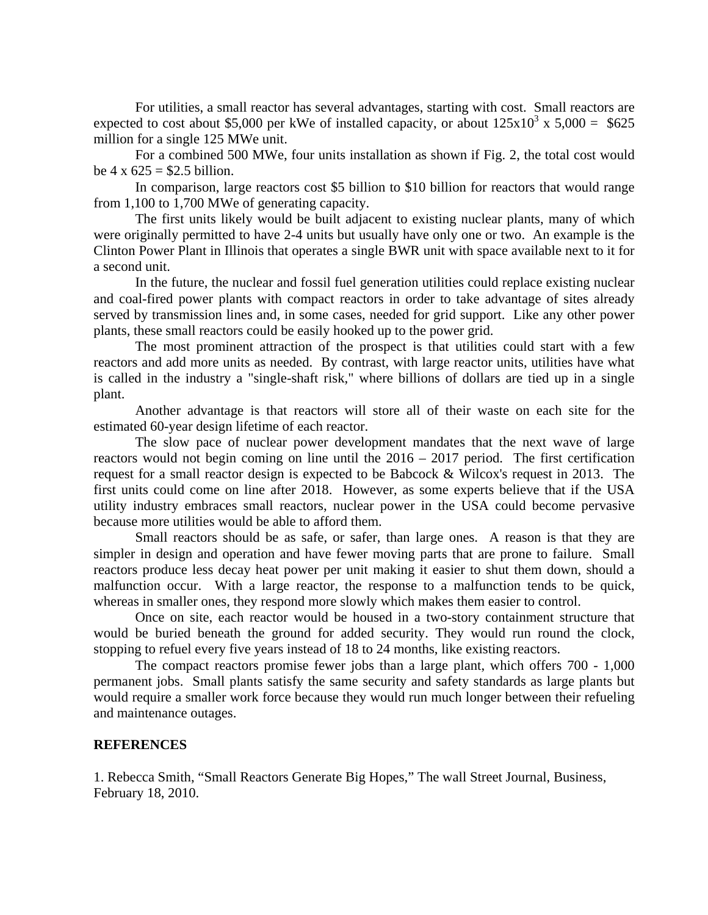For utilities, a small reactor has several advantages, starting with cost. Small reactors are expected to cost about \$5,000 per kWe of installed capacity, or about  $125 \times 10^3 \times 5,000 = 625$ million for a single 125 MWe unit.

For a combined 500 MWe, four units installation as shown if Fig. 2, the total cost would be  $4 \times 625 = $2.5$  billion.

 In comparison, large reactors cost \$5 billion to \$10 billion for reactors that would range from 1,100 to 1,700 MWe of generating capacity.

The first units likely would be built adjacent to existing nuclear plants, many of which were originally permitted to have 2-4 units but usually have only one or two. An example is the Clinton Power Plant in Illinois that operates a single BWR unit with space available next to it for a second unit.

In the future, the nuclear and fossil fuel generation utilities could replace existing nuclear and coal-fired power plants with compact reactors in order to take advantage of sites already served by transmission lines and, in some cases, needed for grid support. Like any other power plants, these small reactors could be easily hooked up to the power grid.

 The most prominent attraction of the prospect is that utilities could start with a few reactors and add more units as needed. By contrast, with large reactor units, utilities have what is called in the industry a "single-shaft risk," where billions of dollars are tied up in a single plant.

Another advantage is that reactors will store all of their waste on each site for the estimated 60-year design lifetime of each reactor.

The slow pace of nuclear power development mandates that the next wave of large reactors would not begin coming on line until the 2016 – 2017 period. The first certification request for a small reactor design is expected to be Babcock & Wilcox's request in 2013. The first units could come on line after 2018. However, as some experts believe that if the USA utility industry embraces small reactors, nuclear power in the USA could become pervasive because more utilities would be able to afford them.

 Small reactors should be as safe, or safer, than large ones. A reason is that they are simpler in design and operation and have fewer moving parts that are prone to failure. Small reactors produce less decay heat power per unit making it easier to shut them down, should a malfunction occur. With a large reactor, the response to a malfunction tends to be quick, whereas in smaller ones, they respond more slowly which makes them easier to control.

Once on site, each reactor would be housed in a two-story containment structure that would be buried beneath the ground for added security. They would run round the clock, stopping to refuel every five years instead of 18 to 24 months, like existing reactors.

 The compact reactors promise fewer jobs than a large plant, which offers 700 - 1,000 permanent jobs. Small plants satisfy the same security and safety standards as large plants but would require a smaller work force because they would run much longer between their refueling and maintenance outages.

#### **REFERENCES**

1. Rebecca Smith, "Small Reactors Generate Big Hopes," The wall Street Journal, Business, February 18, 2010.